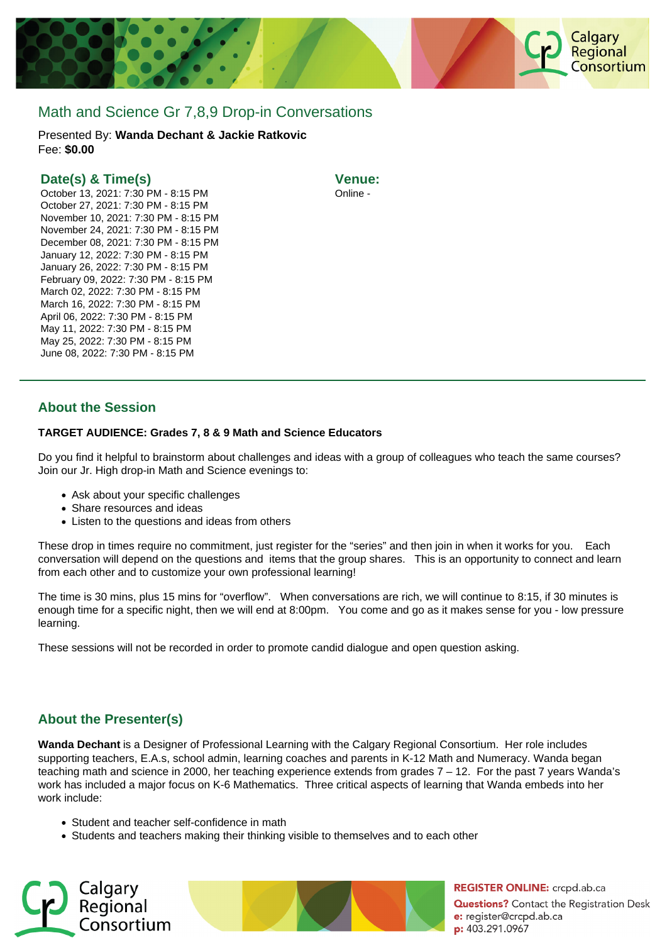

# Math and Science Gr 7,8,9 Drop-in Conversations

Presented By: **Wanda Dechant & Jackie Ratkovic** Fee: **\$0.00** 

### **Date(s) & Time(s)**

October 13, 2021: 7:30 PM - 8:15 PM October 27, 2021: 7:30 PM - 8:15 PM November 10, 2021: 7:30 PM - 8:15 PM November 24, 2021: 7:30 PM - 8:15 PM December 08, 2021: 7:30 PM - 8:15 PM January 12, 2022: 7:30 PM - 8:15 PM January 26, 2022: 7:30 PM - 8:15 PM February 09, 2022: 7:30 PM - 8:15 PM March 02, 2022: 7:30 PM - 8:15 PM March 16, 2022: 7:30 PM - 8:15 PM April 06, 2022: 7:30 PM - 8:15 PM May 11, 2022: 7:30 PM - 8:15 PM May 25, 2022: 7:30 PM - 8:15 PM June 08, 2022: 7:30 PM - 8:15 PM

**Venue:** Online -

## **About the Session**

#### **TARGET AUDIENCE: Grades 7, 8 & 9 Math and Science Educators**

Do you find it helpful to brainstorm about challenges and ideas with a group of colleagues who teach the same courses? Join our Jr. High drop-in Math and Science evenings to:

- Ask about your specific challenges
- Share resources and ideas
- Listen to the questions and ideas from others

These drop in times require no commitment, just register for the "series" and then join in when it works for you. Each conversation will depend on the questions and items that the group shares. This is an opportunity to connect and learn from each other and to customize your own professional learning!

The time is 30 mins, plus 15 mins for "overflow". When conversations are rich, we will continue to 8:15, if 30 minutes is enough time for a specific night, then we will end at 8:00pm. You come and go as it makes sense for you - low pressure learning.

These sessions will not be recorded in order to promote candid dialogue and open question asking.

# **About the Presenter(s)**

**Wanda Dechant** is a Designer of Professional Learning with the Calgary Regional Consortium. Her role includes supporting teachers, E.A.s, school admin, learning coaches and parents in K-12 Math and Numeracy. Wanda began teaching math and science in 2000, her teaching experience extends from grades 7 – 12. For the past 7 years Wanda's work has included a major focus on K-6 Mathematics. Three critical aspects of learning that Wanda embeds into her work include:

- Student and teacher self-confidence in math
- Students and teachers making their thinking visible to themselves and to each other





**REGISTER ONLINE:** crcpd.ab.ca **Questions?** Contact the Registration Desk e: register@crcpd.ab.ca p: 403.291.0967